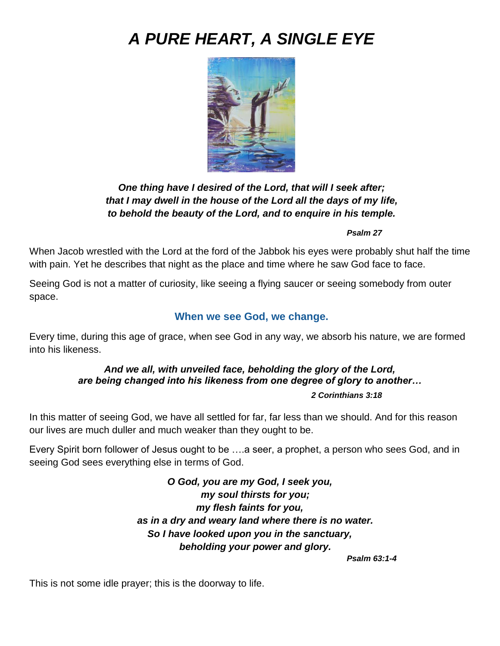# *A PURE HEART, A SINGLE EYE*



## *One thing have I desired of the Lord, that will I seek after; that I may dwell in the house of the Lord all the days of my life, to behold the beauty of the Lord, and to enquire in his temple.*

#### *Psalm 27*

When Jacob wrestled with the Lord at the ford of the Jabbok his eyes were probably shut half the time with pain. Yet he describes that night as the place and time where he saw God face to face.

Seeing God is not a matter of curiosity, like seeing a flying saucer or seeing somebody from outer space.

#### **When we see God, we change.**

Every time, during this age of grace, when see God in any way, we absorb his nature, we are formed into his likeness.

#### *And we all, with unveiled face, beholding the glory of the Lord, are being changed into his likeness from one degree of glory to another…*

#### *2 Corinthians 3:18*

In this matter of seeing God, we have all settled for far, far less than we should. And for this reason our lives are much duller and much weaker than they ought to be.

Every Spirit born follower of Jesus ought to be ….a seer, a prophet, a person who sees God, and in seeing God sees everything else in terms of God.

> *O God, you are my God, I seek you, my soul thirsts for you; my flesh faints for you, as in a dry and weary land where there is no water. So I have looked upon you in the sanctuary, beholding your power and glory.*

*Psalm 63:1-4*

This is not some idle prayer; this is the doorway to life.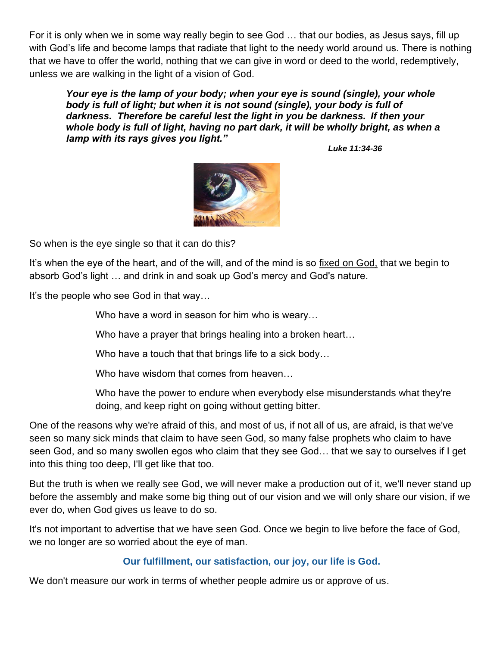For it is only when we in some way really begin to see God … that our bodies, as Jesus says, fill up with God's life and become lamps that radiate that light to the needy world around us. There is nothing that we have to offer the world, nothing that we can give in word or deed to the world, redemptively, unless we are walking in the light of a vision of God.

*Your eye is the lamp of your body; when your eye is sound (single), your whole body is full of light; but when it is not sound (single), your body is full of darkness. Therefore be careful lest the light in you be darkness. If then your*  whole body is full of light, having no part dark, it will be wholly bright, as when a *lamp with its rays gives you light."*

*Luke 11:34-36*



So when is the eye single so that it can do this?

It's when the eye of the heart, and of the will, and of the mind is so fixed on God, that we begin to absorb God's light … and drink in and soak up God's mercy and God's nature.

It's the people who see God in that way…

Who have a word in season for him who is weary…

Who have a prayer that brings healing into a broken heart...

Who have a touch that that brings life to a sick body…

Who have wisdom that comes from heaven…

Who have the power to endure when everybody else misunderstands what they're doing, and keep right on going without getting bitter.

One of the reasons why we're afraid of this, and most of us, if not all of us, are afraid, is that we've seen so many sick minds that claim to have seen God, so many false prophets who claim to have seen God, and so many swollen egos who claim that they see God… that we say to ourselves if I get into this thing too deep, I'll get like that too.

But the truth is when we really see God, we will never make a production out of it, we'll never stand up before the assembly and make some big thing out of our vision and we will only share our vision, if we ever do, when God gives us leave to do so.

It's not important to advertise that we have seen God. Once we begin to live before the face of God, we no longer are so worried about the eye of man.

#### **Our fulfillment, our satisfaction, our joy, our life is God.**

We don't measure our work in terms of whether people admire us or approve of us.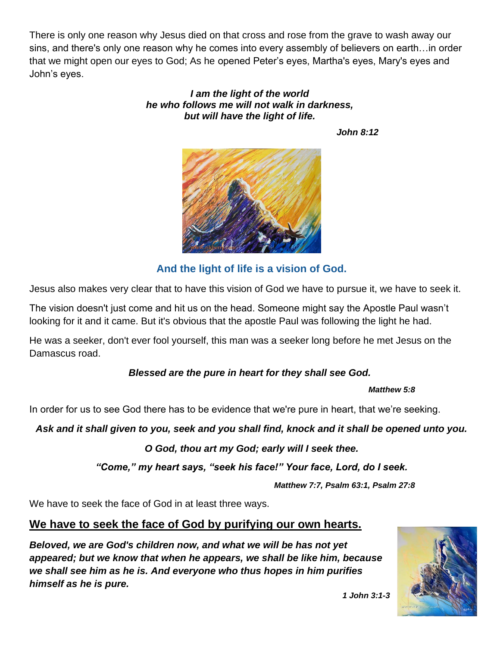There is only one reason why Jesus died on that cross and rose from the grave to wash away our sins, and there's only one reason why he comes into every assembly of believers on earth…in order that we might open our eyes to God; As he opened Peter's eyes, Martha's eyes, Mary's eyes and John's eyes.

#### *I am the light of the world he who follows me will not walk in darkness, but will have the light of life.*

*John 8:12* 



# **And the light of life is a vision of God.**

Jesus also makes very clear that to have this vision of God we have to pursue it, we have to seek it.

The vision doesn't just come and hit us on the head. Someone might say the Apostle Paul wasn't looking for it and it came. But it's obvious that the apostle Paul was following the light he had.

He was a seeker, don't ever fool yourself, this man was a seeker long before he met Jesus on the Damascus road.

## *Blessed are the pure in heart for they shall see God.*

#### *Matthew 5:8*

In order for us to see God there has to be evidence that we're pure in heart, that we're seeking.

*Ask and it shall given to you, seek and you shall find, knock and it shall be opened unto you.*

#### *O God, thou art my God; early will I seek thee.*

*"Come," my heart says, "seek his face!" Your face, Lord, do I seek.*

*Matthew 7:7, Psalm 63:1, Psalm 27:8*

We have to seek the face of God in at least three ways.

## **We have to seek the face of God by purifying our own hearts.**

*Beloved, we are God's children now, and what we will be has not yet appeared; but we know that when he appears, we shall be like him, because we shall see him as he is. And everyone who thus hopes in him purifies himself as he is pure.*



*1 John 3:1-3*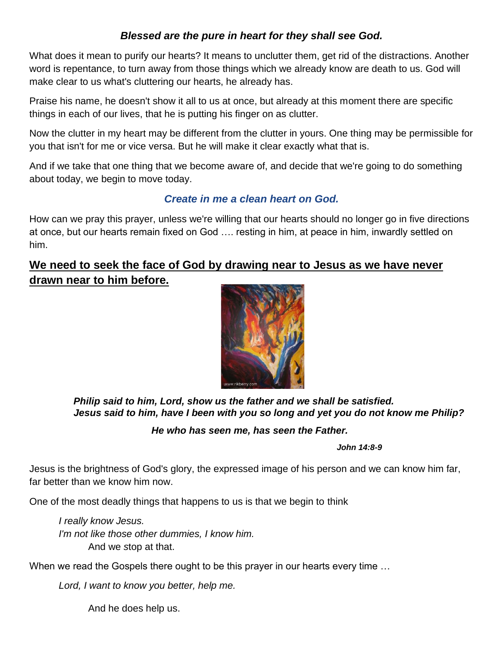## *Blessed are the pure in heart for they shall see God.*

What does it mean to purify our hearts? It means to unclutter them, get rid of the distractions. Another word is repentance, to turn away from those things which we already know are death to us. God will make clear to us what's cluttering our hearts, he already has.

Praise his name, he doesn't show it all to us at once, but already at this moment there are specific things in each of our lives, that he is putting his finger on as clutter.

Now the clutter in my heart may be different from the clutter in yours. One thing may be permissible for you that isn't for me or vice versa. But he will make it clear exactly what that is.

And if we take that one thing that we become aware of, and decide that we're going to do something about today, we begin to move today.

# *Create in me a clean heart on God.*

How can we pray this prayer, unless we're willing that our hearts should no longer go in five directions at once, but our hearts remain fixed on God …. resting in him, at peace in him, inwardly settled on him.

# **We need to seek the face of God by drawing near to Jesus as we have never drawn near to him before.**



*Philip said to him, Lord, show us the father and we shall be satisfied. Jesus said to him, have I been with you so long and yet you do not know me Philip?*

## *He who has seen me, has seen the Father.*

*John 14:8-9*

Jesus is the brightness of God's glory, the expressed image of his person and we can know him far, far better than we know him now.

One of the most deadly things that happens to us is that we begin to think

*I really know Jesus. I'm not like those other dummies, I know him.* And we *s*top at that.

When we read the Gospels there ought to be this prayer in our hearts every time …

*Lord, I want to know you better, help me.*

And he does help us.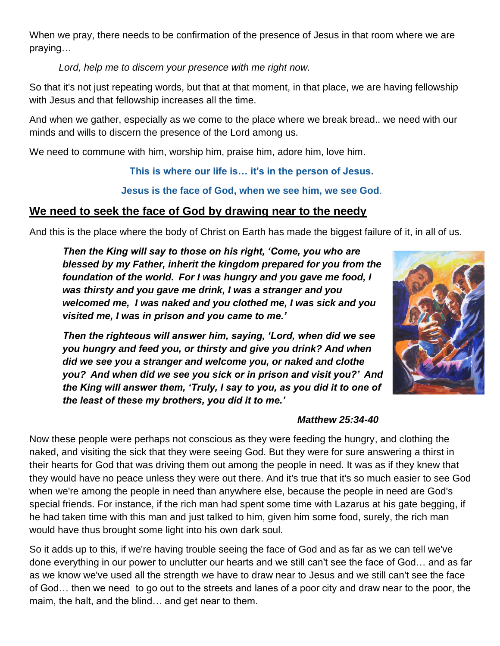When we pray, there needs to be confirmation of the presence of Jesus in that room where we are praying…

*Lord, help me to discern your presence with me right now.*

So that it's not just repeating words, but that at that moment, in that place, we are having fellowship with Jesus and that fellowship increases all the time.

And when we gather, especially as we come to the place where we break bread.. we need with our minds and wills to discern the presence of the Lord among us.

We need to commune with him, worship him, praise him, adore him, love him.

**This is where our life is… it's in the person of Jesus.**

**Jesus is the face of God, when we see him, we see God**.

# **We need to seek the face of God by drawing near to the needy**

And this is the place where the body of Christ on Earth has made the biggest failure of it, in all of us.

*Then the King will say to those on his right, 'Come, you who are blessed by my Father, inherit the kingdom prepared for you from the foundation of the world. For I was hungry and you gave me food, I was thirsty and you gave me drink, I was a stranger and you welcomed me, I was naked and you clothed me, I was sick and you visited me, I was in prison and you came to me.'* 

*Then the righteous will answer him, saying, 'Lord, when did we see you hungry and feed you, or thirsty and give you drink? And when did we see you a stranger and welcome you, or naked and clothe you? And when did we see you sick or in prison and visit you?' And the King will answer them, 'Truly, I say to you, as you did it to one of the least of these my brothers, you did it to me.'*

## *Matthew 25:34-40*

Now these people were perhaps not conscious as they were feeding the hungry, and clothing the naked, and visiting the sick that they were seeing God. But they were for sure answering a thirst in their hearts for God that was driving them out among the people in need. It was as if they knew that they would have no peace unless they were out there. And it's true that it's so much easier to see God when we're among the people in need than anywhere else, because the people in need are God's special friends. For instance, if the rich man had spent some time with Lazarus at his gate begging, if he had taken time with this man and just talked to him, given him some food, surely, the rich man would have thus brought some light into his own dark soul.

So it adds up to this, if we're having trouble seeing the face of God and as far as we can tell we've done everything in our power to unclutter our hearts and we still can't see the face of God… and as far as we know we've used all the strength we have to draw near to Jesus and we still can't see the face of God… then we need to go out to the streets and lanes of a poor city and draw near to the poor, the maim, the halt, and the blind… and get near to them.